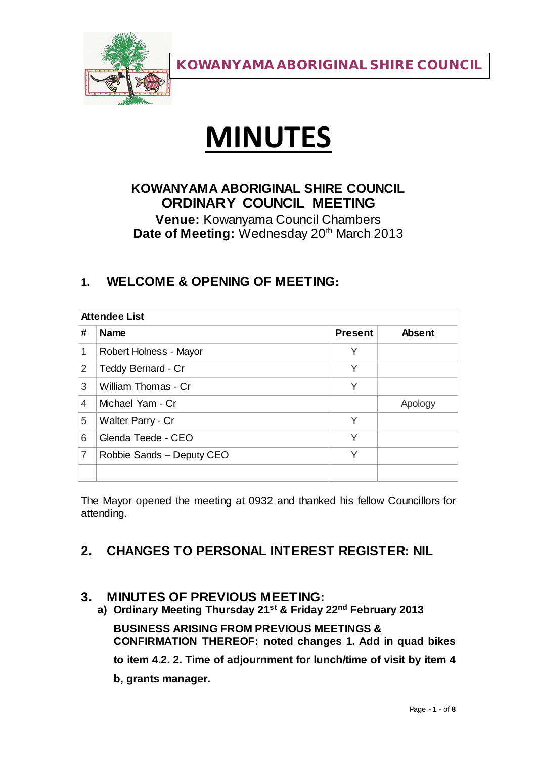

# **MINUTES**

# **KOWANYAMA ABORIGINAL SHIRE COUNCIL ORDINARY COUNCIL MEETING**

**Venue:** Kowanyama Council Chambers Date of Meeting: Wednesday 20<sup>th</sup> March 2013

# **1. WELCOME & OPENING OF MEETING:**

| <b>Attendee List</b> |                           |                |               |
|----------------------|---------------------------|----------------|---------------|
| #                    | <b>Name</b>               | <b>Present</b> | <b>Absent</b> |
| 1                    | Robert Holness - Mayor    | Υ              |               |
| 2                    | Teddy Bernard - Cr        | Υ              |               |
| 3                    | William Thomas - Cr       | Υ              |               |
| 4                    | Michael Yam - Cr          |                | Apology       |
| 5                    | Walter Parry - Cr         | Υ              |               |
| 6                    | Glenda Teede - CEO        | Υ              |               |
| 7                    | Robbie Sands - Deputy CEO | Υ              |               |
|                      |                           |                |               |

The Mayor opened the meeting at 0932 and thanked his fellow Councillors for attending.

# **2. CHANGES TO PERSONAL INTEREST REGISTER: NIL**

#### **3. MINUTES OF PREVIOUS MEETING:**

**a) Ordinary Meeting Thursday 21st & Friday 22nd February 2013**

**BUSINESS ARISING FROM PREVIOUS MEETINGS & CONFIRMATION THEREOF: noted changes 1. Add in quad bikes**

**to item 4.2. 2. Time of adjournment for lunch/time of visit by item 4** 

**b, grants manager.**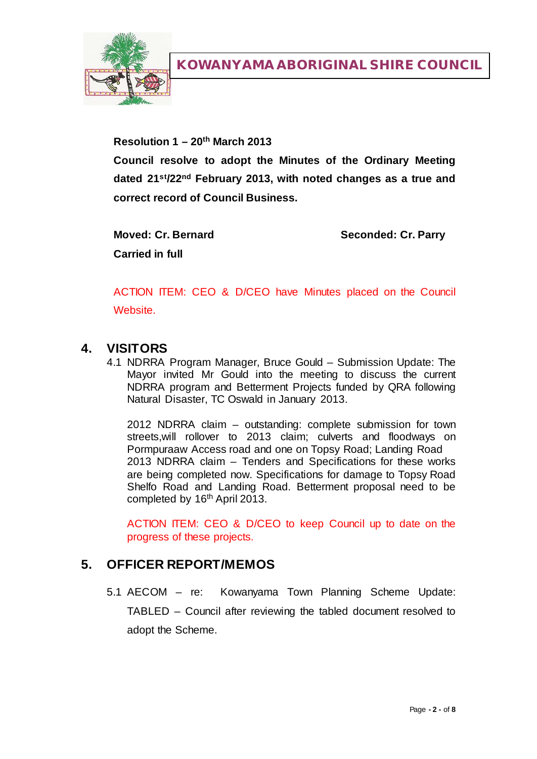

**Resolution 1 – 20th March 2013**

**Council resolve to adopt the Minutes of the Ordinary Meeting dated 21st/22nd February 2013, with noted changes as a true and correct record of Council Business.**

**Moved: Cr. Bernard Seconded: Cr. Parry Carried in full**

ACTION ITEM: CEO & D/CEO have Minutes placed on the Council Website.

#### **4. VISITORS**

4.1 NDRRA Program Manager, Bruce Gould – Submission Update: The Mayor invited Mr Gould into the meeting to discuss the current NDRRA program and Betterment Projects funded by QRA following Natural Disaster, TC Oswald in January 2013.

2012 NDRRA claim – outstanding: complete submission for town streets,will rollover to 2013 claim; culverts and floodways on Pormpuraaw Access road and one on Topsy Road; Landing Road 2013 NDRRA claim – Tenders and Specifications for these works are being completed now. Specifications for damage to Topsy Road Shelfo Road and Landing Road. Betterment proposal need to be completed by 16<sup>th</sup> April 2013.

ACTION ITEM: CEO & D/CEO to keep Council up to date on the progress of these projects.

#### **5. OFFICER REPORT/MEMOS**

5.1 AECOM – re: Kowanyama Town Planning Scheme Update: TABLED – Council after reviewing the tabled document resolved to adopt the Scheme.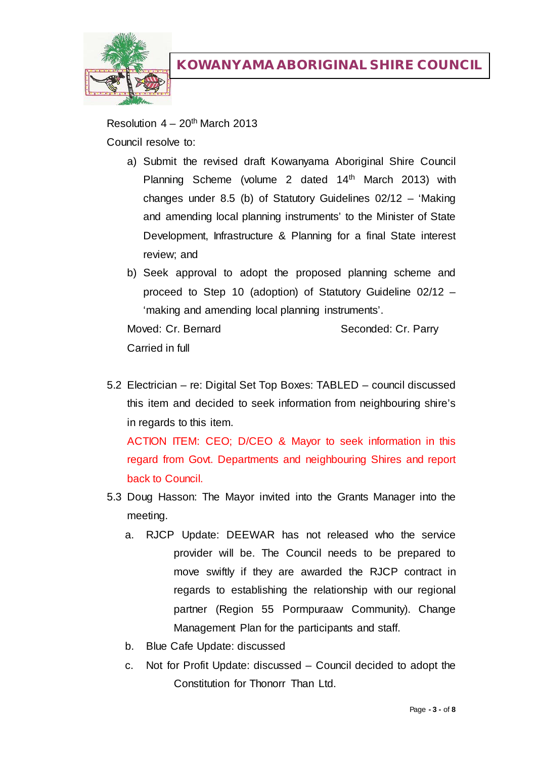

Resolution  $4 - 20$ <sup>th</sup> March 2013 Council resolve to:

- a) Submit the revised draft Kowanyama Aboriginal Shire Council Planning Scheme (volume 2 dated 14<sup>th</sup> March 2013) with changes under 8.5 (b) of Statutory Guidelines 02/12 – 'Making and amending local planning instruments' to the Minister of State Development, Infrastructure & Planning for a final State interest review; and
- b) Seek approval to adopt the proposed planning scheme and proceed to Step 10 (adoption) of Statutory Guideline 02/12 – 'making and amending local planning instruments'.

Moved: Cr. Bernard Seconded: Cr. Parry Carried in full

5.2 Electrician – re: Digital Set Top Boxes: TABLED – council discussed this item and decided to seek information from neighbouring shire's in regards to this item.

ACTION ITEM: CEO; D/CEO & Mayor to seek information in this regard from Govt. Departments and neighbouring Shires and report back to Council.

- 5.3 Doug Hasson: The Mayor invited into the Grants Manager into the meeting.
	- a. RJCP Update: DEEWAR has not released who the service provider will be. The Council needs to be prepared to move swiftly if they are awarded the RJCP contract in regards to establishing the relationship with our regional partner (Region 55 Pormpuraaw Community). Change Management Plan for the participants and staff.
	- b. Blue Cafe Update: discussed
	- c. Not for Profit Update: discussed Council decided to adopt the Constitution for Thonorr Than Ltd.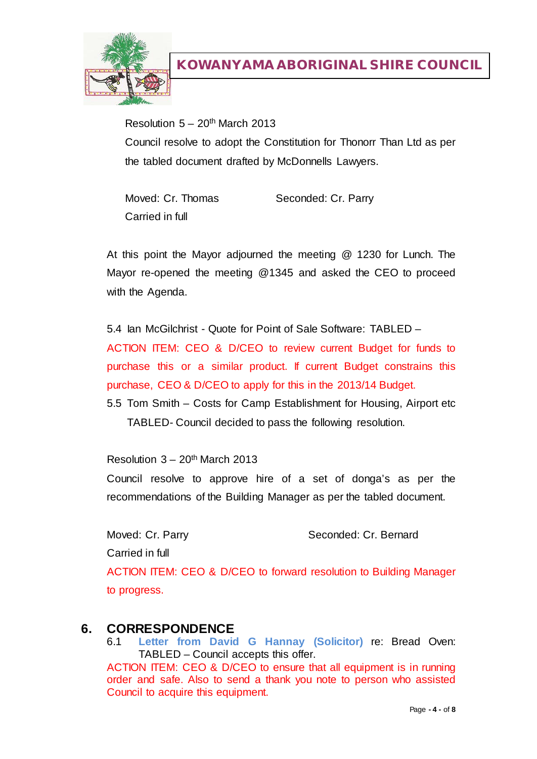

Resolution  $5 - 20$ <sup>th</sup> March 2013 Council resolve to adopt the Constitution for Thonorr Than Ltd as per the tabled document drafted by McDonnells Lawyers.

Moved: Cr. Thomas Seconded: Cr. Parry Carried in full

At this point the Mayor adjourned the meeting @ 1230 for Lunch. The Mayor re-opened the meeting @1345 and asked the CEO to proceed with the Agenda.

5.4 Ian McGilchrist - Quote for Point of Sale Software: TABLED – ACTION ITEM: CEO & D/CEO to review current Budget for funds to purchase this or a similar product. If current Budget constrains this purchase, CEO & D/CEO to apply for this in the 2013/14 Budget.

5.5 Tom Smith – Costs for Camp Establishment for Housing, Airport etc TABLED- Council decided to pass the following resolution.

Resolution  $3 - 20$ <sup>th</sup> March 2013

Council resolve to approve hire of a set of donga's as per the recommendations of the Building Manager as per the tabled document.

Carried in full

Moved: Cr. Parry Seconded: Cr. Bernard

ACTION ITEM: CEO & D/CEO to forward resolution to Building Manager to progress.

# **6. CORRESPONDENCE**

6.1 **Letter from David G Hannay (Solicitor)** re: Bread Oven: TABLED – Council accepts this offer.

ACTION ITEM: CEO & D/CEO to ensure that all equipment is in running order and safe. Also to send a thank you note to person who assisted Council to acquire this equipment.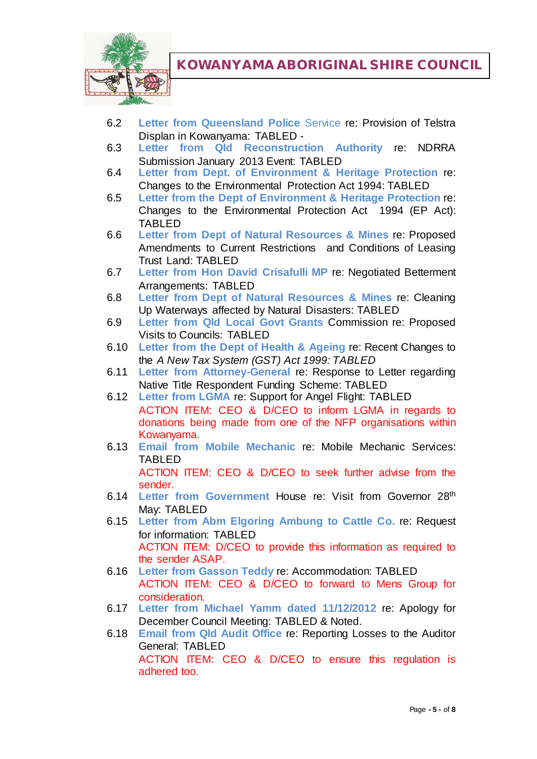

- 6.2 **Letter from Queensland Police** Service re: Provision of Telstra Displan in Kowanyama: TABLED -
- 6.3 **Letter from Qld Reconstruction Authority** re: NDRRA Submission January 2013 Event: TABLED
- 6.4 **Letter from Dept. of Environment & Heritage Protection** re: Changes to the Environmental Protection Act 1994: TABLED
- 6.5 **Letter from the Dept of Environment & Heritage Protection** re: Changes to the Environmental Protection Act 1994 (EP Act): TABLED
- 6.6 **Letter from Dept of Natural Resources & Mines** re: Proposed Amendments to Current Restrictions and Conditions of Leasing Trust Land: TABLED
- 6.7 **Letter from Hon David Crisafulli MP** re: Negotiated Betterment Arrangements: TABLED
- 6.8 **Letter from Dept of Natural Resources & Mines** re: Cleaning Up Waterways affected by Natural Disasters: TABLED
- 6.9 **Letter from Qld Local Govt Grants** Commission re: Proposed Visits to Councils: TABLED
- 6.10 **Letter from the Dept of Health & Ageing** re: Recent Changes to the *A New Tax System (GST) Act 1999: TABLED*
- 6.11 **Letter from Attorney-General** re: Response to Letter regarding Native Title Respondent Funding Scheme: TABLED
- 6.12 **Letter from LGMA** re: Support for Angel Flight: TABLED ACTION ITEM: CEO & D/CEO to inform LGMA in regards to donations being made from one of the NFP organisations within Kowanyama.
- 6.13 **Email from Mobile Mechanic** re: Mobile Mechanic Services: TABLED ACTION ITEM: CEO & D/CEO to seek further advise from the
- sender. 6.14 **Letter from Government** House re: Visit from Governor 28th May: TABLED
- 6.15 **Letter from Abm Elgoring Ambung to Cattle Co.** re: Request for information: TABLED ACTION ITEM: D/CEO to provide this information as required to the sender ASAP.
- 6.16 **Letter from Gasson Teddy** re: Accommodation: TABLED ACTION ITEM: CEO & D/CEO to forward to Mens Group for consideration.
- 6.17 **Letter from Michael Yamm dated 11/12/2012** re: Apology for December Council Meeting: TABLED & Noted.
- 6.18 **Email from Qld Audit Office** re: Reporting Losses to the Auditor General: TABLED ACTION ITEM: CEO & D/CEO to ensure this regulation is adhered too.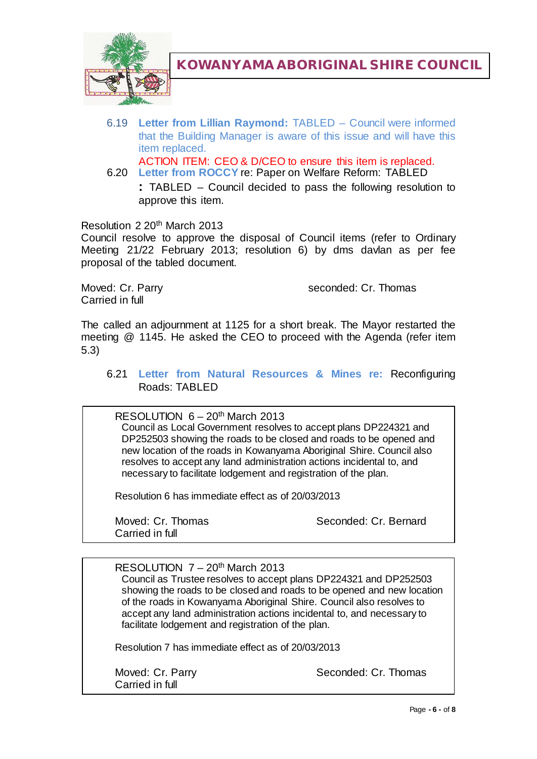

6.19 **Letter from Lillian Raymond:** TABLED – Council were informed that the Building Manager is aware of this issue and will have this item replaced.

ACTION ITEM: CEO & D/CEO to ensure this item is replaced.

6.20 **Letter from ROCCY** re: Paper on Welfare Reform: TABLED **:** TABLED – Council decided to pass the following resolution to approve this item.

Resolution 2 20th March 2013

Council resolve to approve the disposal of Council items (refer to Ordinary Meeting 21/22 February 2013; resolution 6) by dms davlan as per fee proposal of the tabled document.

Carried in full

Moved: Cr. Parry seconded: Cr. Thomas

The called an adjournment at 1125 for a short break. The Mayor restarted the meeting @ 1145. He asked the CEO to proceed with the Agenda (refer item 5.3)

6.21 **Letter from Natural Resources & Mines re:** Reconfiguring Roads: TABLED

RESOLUTION  $6 - 20$ <sup>th</sup> March 2013

Council as Local Government resolves to accept plans DP224321 and DP252503 showing the roads to be closed and roads to be opened and new location of the roads in Kowanyama Aboriginal Shire. Council also resolves to accept any land administration actions incidental to, and necessary to facilitate lodgement and registration of the plan.

Resolution 6 has immediate effect as of 20/03/2013

Carried in full

Moved: Cr. Thomas Seconded: Cr. Bernard

RESOLUTION  $7 - 20$ <sup>th</sup> March 2013 Council as Trustee resolves to accept plans DP224321 and DP252503 showing the roads to be closed and roads to be opened and new location of the roads in Kowanyama Aboriginal Shire. Council also resolves to accept any land administration actions incidental to, and necessary to facilitate lodgement and registration of the plan.

Resolution 7 has immediate effect as of 20/03/2013

Carried in full

Moved: Cr. Parry Seconded: Cr. Thomas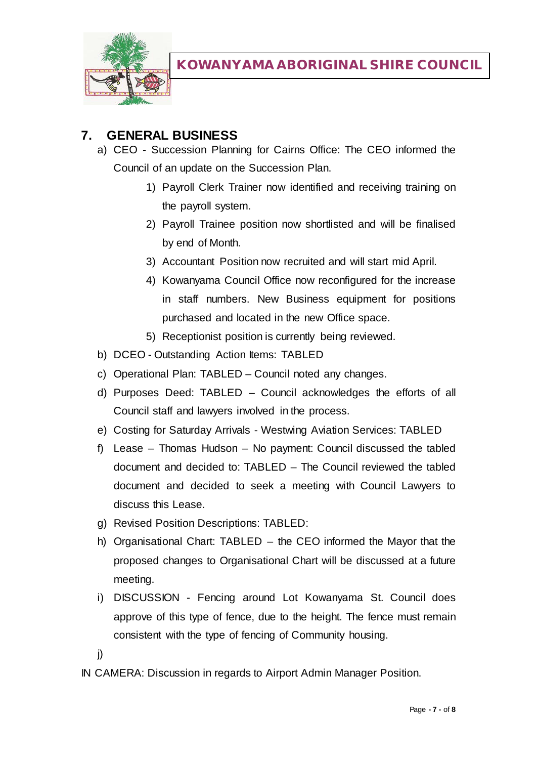

## **7. GENERAL BUSINESS**

- a) CEO Succession Planning for Cairns Office: The CEO informed the Council of an update on the Succession Plan.
	- 1) Payroll Clerk Trainer now identified and receiving training on the payroll system.
	- 2) Payroll Trainee position now shortlisted and will be finalised by end of Month.
	- 3) Accountant Position now recruited and will start mid April.
	- 4) Kowanyama Council Office now reconfigured for the increase in staff numbers. New Business equipment for positions purchased and located in the new Office space.
	- 5) Receptionist position is currently being reviewed.
- b) DCEO Outstanding Action Items: TABLED
- c) Operational Plan: TABLED Council noted any changes.
- d) Purposes Deed: TABLED Council acknowledges the efforts of all Council staff and lawyers involved in the process.
- e) Costing for Saturday Arrivals Westwing Aviation Services: TABLED
- f) Lease Thomas Hudson No payment: Council discussed the tabled document and decided to: TABLED – The Council reviewed the tabled document and decided to seek a meeting with Council Lawyers to discuss this Lease.
- g) Revised Position Descriptions: TABLED:
- h) Organisational Chart: TABLED the CEO informed the Mayor that the proposed changes to Organisational Chart will be discussed at a future meeting.
- i) DISCUSSION Fencing around Lot Kowanyama St. Council does approve of this type of fence, due to the height. The fence must remain consistent with the type of fencing of Community housing.
- j)

IN CAMERA: Discussion in regards to Airport Admin Manager Position.